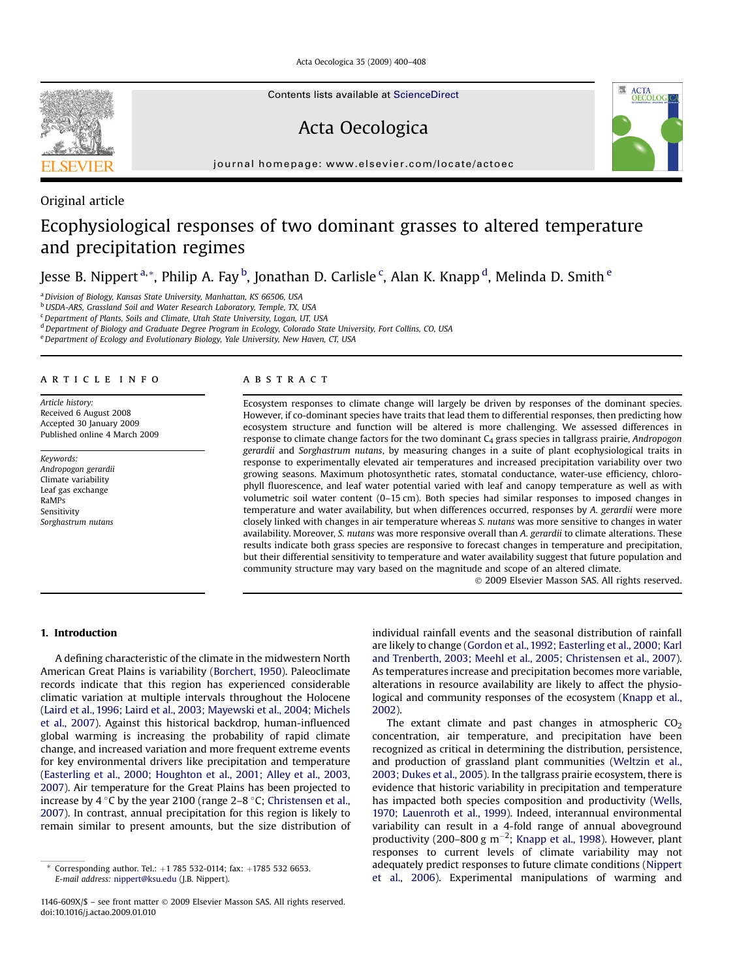Acta Oecologica 35 (2009) 400–408

Contents lists available at [ScienceDirect](www.sciencedirect.com/science/journal/1146609X)

Acta Oecologica



journal homepage: [www.elsevier.com/locate/actoec](http://www.elsevier.com/locate/actoec)

## Original article

# Ecophysiological responses of two dominant grasses to altered temperature and precipitation regimes

Jesse B. Nippert <sup>a,</sup>\*, Philip A. Fay <sup>b</sup>, Jonathan D. Carlisle <sup>c</sup>, Alan K. Knapp <sup>d</sup>, Melinda D. Smith <sup>e</sup>

<sup>a</sup> Division of Biology, Kansas State University, Manhattan, KS 66506, USA

b USDA-ARS, Grassland Soil and Water Research Laboratory, Temple, TX, USA

<sup>c</sup>Department of Plants, Soils and Climate, Utah State University, Logan, UT, USA

<sup>d</sup> Department of Biology and Graduate Degree Program in Ecology, Colorado State University, Fort Collins, CO, USA

e Department of Ecology and Evolutionary Biology, Yale University, New Haven, CT, USA

## article info

Article history: Received 6 August 2008 Accepted 30 January 2009 Published online 4 March 2009

Keywords: Andropogon gerardii Climate variability Leaf gas exchange RaMPs Sensitivity Sorghastrum nutans

## **ABSTRACT**

Ecosystem responses to climate change will largely be driven by responses of the dominant species. However, if co-dominant species have traits that lead them to differential responses, then predicting how ecosystem structure and function will be altered is more challenging. We assessed differences in response to climate change factors for the two dominant  $C_4$  grass species in tallgrass prairie, Andropogon gerardii and Sorghastrum nutans, by measuring changes in a suite of plant ecophysiological traits in response to experimentally elevated air temperatures and increased precipitation variability over two growing seasons. Maximum photosynthetic rates, stomatal conductance, water-use efficiency, chlorophyll fluorescence, and leaf water potential varied with leaf and canopy temperature as well as with volumetric soil water content (0–15 cm). Both species had similar responses to imposed changes in temperature and water availability, but when differences occurred, responses by A. gerardii were more closely linked with changes in air temperature whereas S. nutans was more sensitive to changes in water availability. Moreover, S. nutans was more responsive overall than A. gerardii to climate alterations. These results indicate both grass species are responsive to forecast changes in temperature and precipitation, but their differential sensitivity to temperature and water availability suggest that future population and community structure may vary based on the magnitude and scope of an altered climate.

 $\odot$  2009 Elsevier Masson SAS. All rights reserved.

## 1. Introduction

A defining characteristic of the climate in the midwestern North American Great Plains is variability [\(Borchert, 1950](#page-7-0)). Paleoclimate records indicate that this region has experienced considerable climatic variation at multiple intervals throughout the Holocene ([Laird et al., 1996; Laird et al., 2003; Mayewski et al., 2004; Michels](#page-8-0) [et al., 2007\)](#page-8-0). Against this historical backdrop, human-influenced global warming is increasing the probability of rapid climate change, and increased variation and more frequent extreme events for key environmental drivers like precipitation and temperature ([Easterling et al., 2000; Houghton et al., 2001; Alley et al., 2003,](#page-8-0) [2007\)](#page-8-0). Air temperature for the Great Plains has been projected to increase by 4  $\degree$ C by the year 2100 (range 2–8  $\degree$ C; [Christensen et al.,](#page-7-0) [2007\)](#page-7-0). In contrast, annual precipitation for this region is likely to remain similar to present amounts, but the size distribution of individual rainfall events and the seasonal distribution of rainfall are likely to change ([Gordon et al., 1992; Easterling et al., 2000; Karl](#page-8-0) [and Trenberth, 2003; Meehl et al., 2005; Christensen et al., 2007\)](#page-8-0). As temperatures increase and precipitation becomes more variable, alterations in resource availability are likely to affect the physiological and community responses of the ecosystem ([Knapp et al.,](#page-8-0) [2002](#page-8-0)).

The extant climate and past changes in atmospheric  $CO<sub>2</sub>$ concentration, air temperature, and precipitation have been recognized as critical in determining the distribution, persistence, and production of grassland plant communities [\(Weltzin et al.,](#page-8-0) [2003; Dukes et al., 2005\)](#page-8-0). In the tallgrass prairie ecosystem, there is evidence that historic variability in precipitation and temperature has impacted both species composition and productivity ([Wells,](#page-8-0) [1970; Lauenroth et al., 1999\)](#page-8-0). Indeed, interannual environmental variability can result in a 4-fold range of annual aboveground productivity (200–800 g m<sup>-2</sup>; [Knapp et al., 1998](#page-8-0)). However, plant responses to current levels of climate variability may not adequately predict responses to future climate conditions ([Nippert](#page-8-0) [et al., 2006\)](#page-8-0). Experimental manipulations of warming and



Corresponding author. Tel.:  $+1$  785 532-0114; fax:  $+1785$  532 6653. E-mail address: [nippert@ksu.edu](mailto:nippert@ksu.edu) (J.B. Nippert).

 $1146-609X/\$  – see front matter  $\odot$  2009 Elsevier Masson SAS. All rights reserved. doi:10.1016/j.actao.2009.01.010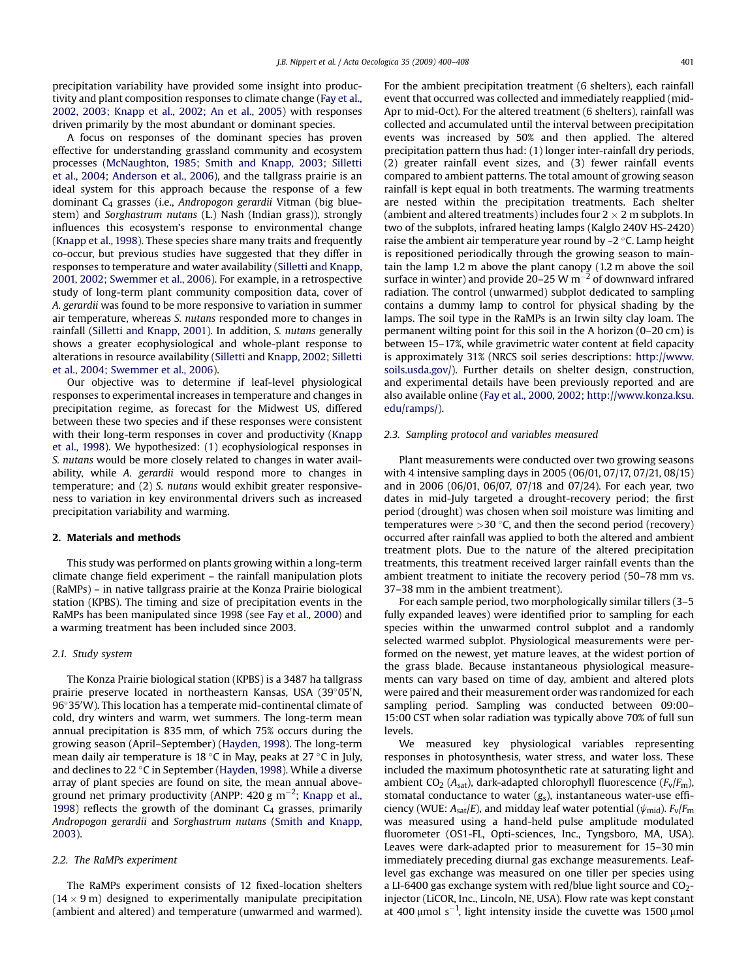<span id="page-1-0"></span>precipitation variability have provided some insight into productivity and plant composition responses to climate change ([Fay et al.,](#page-8-0) [2002, 2003; Knapp et al., 2002; An et al., 2005\)](#page-8-0) with responses driven primarily by the most abundant or dominant species.

A focus on responses of the dominant species has proven effective for understanding grassland community and ecosystem processes [\(McNaughton, 1985; Smith and Knapp, 2003; Silletti](#page-8-0) [et al., 2004; Anderson et al., 2006](#page-8-0)), and the tallgrass prairie is an ideal system for this approach because the response of a few dominant C4 grasses (i.e., Andropogon gerardii Vitman (big bluestem) and Sorghastrum nutans (L.) Nash (Indian grass)), strongly influences this ecosystem's response to environmental change ([Knapp et al., 1998\)](#page-8-0). These species share many traits and frequently co-occur, but previous studies have suggested that they differ in responses to temperature and water availability [\(Silletti and Knapp,](#page-8-0) [2001, 2002; Swemmer et al., 2006\)](#page-8-0). For example, in a retrospective study of long-term plant community composition data, cover of A. gerardii was found to be more responsive to variation in summer air temperature, whereas S. nutans responded more to changes in rainfall [\(Silletti and Knapp, 2001\)](#page-8-0). In addition, S. nutans generally shows a greater ecophysiological and whole-plant response to alterations in resource availability [\(Silletti and Knapp, 2002; Silletti](#page-8-0) [et al., 2004; Swemmer et al., 2006\)](#page-8-0).

Our objective was to determine if leaf-level physiological responses to experimental increases in temperature and changes in precipitation regime, as forecast for the Midwest US, differed between these two species and if these responses were consistent with their long-term responses in cover and productivity [\(Knapp](#page-8-0) [et al., 1998\)](#page-8-0). We hypothesized: (1) ecophysiological responses in S. nutans would be more closely related to changes in water availability, while A. gerardii would respond more to changes in temperature; and (2) S. nutans would exhibit greater responsiveness to variation in key environmental drivers such as increased precipitation variability and warming.

#### 2. Materials and methods

This study was performed on plants growing within a long-term climate change field experiment – the rainfall manipulation plots (RaMPs) – in native tallgrass prairie at the Konza Prairie biological station (KPBS). The timing and size of precipitation events in the RaMPs has been manipulated since 1998 (see [Fay et al., 2000\)](#page-8-0) and a warming treatment has been included since 2003.

#### 2.1. Study system

The Konza Prairie biological station (KPBS) is a 3487 ha tallgrass prairie preserve located in northeastern Kansas, USA (39°05'N, 96°35'W). This location has a temperate mid-continental climate of cold, dry winters and warm, wet summers. The long-term mean annual precipitation is 835 mm, of which 75% occurs during the growing season (April–September) [\(Hayden, 1998](#page-8-0)). The long-term mean daily air temperature is 18 °C in May, peaks at 27 °C in July, and declines to 22 °C in September ([Hayden, 1998\)](#page-8-0). While a diverse array of plant species are found on site, the mean annual aboveground net primary productivity (ANPP: 420 g m $^{-2}$ ; [Knapp et al.,](#page-8-0) [1998\)](#page-8-0) reflects the growth of the dominant  $C_4$  grasses, primarily Andropogon gerardii and Sorghastrum nutans ([Smith and Knapp,](#page-8-0) [2003\)](#page-8-0).

## 2.2. The RaMPs experiment

The RaMPs experiment consists of 12 fixed-location shelters  $(14 \times 9 \text{ m})$  designed to experimentally manipulate precipitation (ambient and altered) and temperature (unwarmed and warmed). For the ambient precipitation treatment (6 shelters), each rainfall event that occurred was collected and immediately reapplied (mid-Apr to mid-Oct). For the altered treatment (6 shelters), rainfall was collected and accumulated until the interval between precipitation events was increased by 50% and then applied. The altered precipitation pattern thus had: (1) longer inter-rainfall dry periods, (2) greater rainfall event sizes, and (3) fewer rainfall events compared to ambient patterns. The total amount of growing season rainfall is kept equal in both treatments. The warming treatments are nested within the precipitation treatments. Each shelter (ambient and altered treatments) includes four  $2 \times 2$  m subplots. In two of the subplots, infrared heating lamps (Kalglo 240V HS-2420) raise the ambient air temperature year round by  $\sim$  2  $\degree$ C. Lamp height is repositioned periodically through the growing season to maintain the lamp 1.2 m above the plant canopy (1.2 m above the soil surface in winter) and provide 20–25 W  $\rm m^{-2}$  of downward infrared radiation. The control (unwarmed) subplot dedicated to sampling contains a dummy lamp to control for physical shading by the lamps. The soil type in the RaMPs is an Irwin silty clay loam. The permanent wilting point for this soil in the A horizon (0–20 cm) is between 15–17%, while gravimetric water content at field capacity is approximately 31% (NRCS soil series descriptions: [http://www.](http://www.soils.usda.gov/) [soils.usda.gov/](http://www.soils.usda.gov/)). Further details on shelter design, construction, and experimental details have been previously reported and are also available online [\(Fay et al., 2000, 2002](#page-8-0); [http://www.konza.ksu.](http://www.konza.ksu.edu/ramps/) [edu/ramps/\)](http://www.konza.ksu.edu/ramps/).

## 2.3. Sampling protocol and variables measured

Plant measurements were conducted over two growing seasons with 4 intensive sampling days in 2005 (06/01, 07/17, 07/21, 08/15) and in 2006 (06/01, 06/07, 07/18 and 07/24). For each year, two dates in mid-July targeted a drought-recovery period; the first period (drought) was chosen when soil moisture was limiting and temperatures were  $>$  30 °C, and then the second period (recovery) occurred after rainfall was applied to both the altered and ambient treatment plots. Due to the nature of the altered precipitation treatments, this treatment received larger rainfall events than the ambient treatment to initiate the recovery period (50–78 mm vs. 37–38 mm in the ambient treatment).

For each sample period, two morphologically similar tillers (3–5 fully expanded leaves) were identified prior to sampling for each species within the unwarmed control subplot and a randomly selected warmed subplot. Physiological measurements were performed on the newest, yet mature leaves, at the widest portion of the grass blade. Because instantaneous physiological measurements can vary based on time of day, ambient and altered plots were paired and their measurement order was randomized for each sampling period. Sampling was conducted between 09:00– 15:00 CST when solar radiation was typically above 70% of full sun levels.

We measured key physiological variables representing responses in photosynthesis, water stress, and water loss. These included the maximum photosynthetic rate at saturating light and ambient CO<sub>2</sub> ( $A_{sat}$ ), dark-adapted chlorophyll fluorescence ( $F_v/F_m$ ), stomatal conductance to water  $(g_s)$ , instantaneous water-use efficiency (WUE:  $A_{sat}/E$ ), and midday leaf water potential ( $\psi_{mid}$ ).  $F_v/F_m$ was measured using a hand-held pulse amplitude modulated fluorometer (OS1-FL, Opti-sciences, Inc., Tyngsboro, MA, USA). Leaves were dark-adapted prior to measurement for 15–30 min immediately preceding diurnal gas exchange measurements. Leaflevel gas exchange was measured on one tiller per species using a LI-6400 gas exchange system with red/blue light source and  $CO<sub>2</sub>$ injector (LiCOR, Inc., Lincoln, NE, USA). Flow rate was kept constant at 400  $\mu$ mol s<sup>-1</sup>, light intensity inside the cuvette was 1500  $\mu$ mol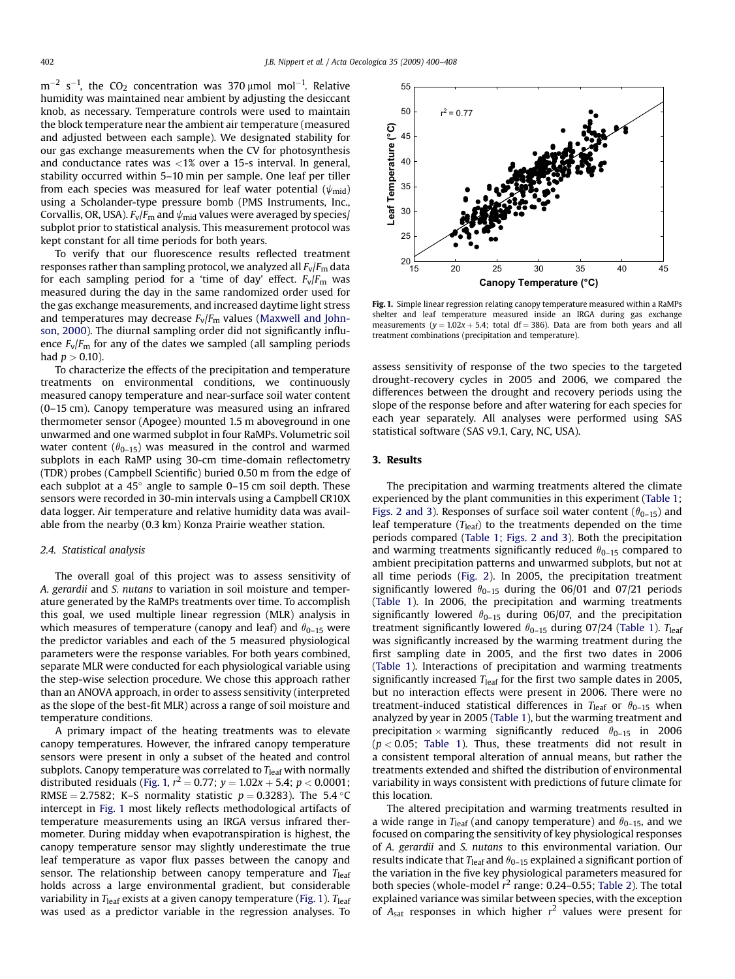$\rm m^{-2}$  s<sup>-1</sup>, the CO<sub>2</sub> concentration was 370µmol mol<sup>-1</sup>. Relative humidity was maintained near ambient by adjusting the desiccant knob, as necessary. Temperature controls were used to maintain the block temperature near the ambient air temperature (measured and adjusted between each sample). We designated stability for our gas exchange measurements when the CV for photosynthesis and conductance rates was <1% over a 15-s interval. In general, stability occurred within 5–10 min per sample. One leaf per tiller from each species was measured for leaf water potential ( $\psi_{mid}$ ) using a Scholander-type pressure bomb (PMS Instruments, Inc., Corvallis, OR, USA).  $F_v/F_m$  and  $\psi_{mid}$  values were averaged by species/ subplot prior to statistical analysis. This measurement protocol was kept constant for all time periods for both years.

To verify that our fluorescence results reflected treatment responses rather than sampling protocol, we analyzed all  $F_v/F_m$  data for each sampling period for a 'time of day' effect.  $F_v/F_m$  was measured during the day in the same randomized order used for the gas exchange measurements, and increased daytime light stress and temperatures may decrease  $F_v/F_m$  values ([Maxwell and John](#page-8-0)[son, 2000](#page-8-0)). The diurnal sampling order did not significantly influence  $F_v/F_m$  for any of the dates we sampled (all sampling periods had  $p > 0.10$ ).

To characterize the effects of the precipitation and temperature treatments on environmental conditions, we continuously measured canopy temperature and near-surface soil water content (0–15 cm). Canopy temperature was measured using an infrared thermometer sensor (Apogee) mounted 1.5 m aboveground in one unwarmed and one warmed subplot in four RaMPs. Volumetric soil water content ( $\theta_{0-15}$ ) was measured in the control and warmed subplots in each RaMP using 30-cm time-domain reflectometry (TDR) probes (Campbell Scientific) buried 0.50 m from the edge of each subplot at a  $45^{\circ}$  angle to sample 0–15 cm soil depth. These sensors were recorded in 30-min intervals using a Campbell CR10X data logger. Air temperature and relative humidity data was available from the nearby (0.3 km) Konza Prairie weather station.

#### 2.4. Statistical analysis

The overall goal of this project was to assess sensitivity of A. gerardii and S. nutans to variation in soil moisture and temperature generated by the RaMPs treatments over time. To accomplish this goal, we used multiple linear regression (MLR) analysis in which measures of temperature (canopy and leaf) and  $\theta_{0-15}$  were the predictor variables and each of the 5 measured physiological parameters were the response variables. For both years combined, separate MLR were conducted for each physiological variable using the step-wise selection procedure. We chose this approach rather than an ANOVA approach, in order to assess sensitivity (interpreted as the slope of the best-fit MLR) across a range of soil moisture and temperature conditions.

A primary impact of the heating treatments was to elevate canopy temperatures. However, the infrared canopy temperature sensors were present in only a subset of the heated and control subplots. Canopy temperature was correlated to  $T_{\text{leaf}}$  with normally distributed residuals (Fig. 1,  $r^2 = 0.77$ ;  $y = 1.02x + 5.4$ ;  $p < 0.0001$ ; RMSE = 2.7582; K–S normality statistic  $p = 0.3283$ ). The 5.4  $\degree$ C intercept in Fig. 1 most likely reflects methodological artifacts of temperature measurements using an IRGA versus infrared thermometer. During midday when evapotranspiration is highest, the canopy temperature sensor may slightly underestimate the true leaf temperature as vapor flux passes between the canopy and sensor. The relationship between canopy temperature and  $T_{\text{leaf}}$ holds across a large environmental gradient, but considerable variability in  $T_{\text{leaf}}$  exists at a given canopy temperature (Fig. 1).  $T_{\text{leaf}}$ was used as a predictor variable in the regression analyses. To



Fig. 1. Simple linear regression relating canopy temperature measured within a RaMPs shelter and leaf temperature measured inside an IRGA during gas exchange measurements  $(y = 1.02x + 5.4$ ; total df = 386). Data are from both years and all treatment combinations (precipitation and temperature).

assess sensitivity of response of the two species to the targeted drought-recovery cycles in 2005 and 2006, we compared the differences between the drought and recovery periods using the slope of the response before and after watering for each species for each year separately. All analyses were performed using SAS statistical software (SAS v9.1, Cary, NC, USA).

## 3. Results

The precipitation and warming treatments altered the climate experienced by the plant communities in this experiment [\(Table 1](#page-3-0); [Figs. 2 and 3](#page-3-0)). Responses of surface soil water content ( $\theta_{0-15}$ ) and leaf temperature  $(T_{\text{leaf}})$  to the treatments depended on the time periods compared [\(Table 1;](#page-3-0) [Figs. 2 and 3](#page-3-0)). Both the precipitation and warming treatments significantly reduced  $\theta_{0-15}$  compared to ambient precipitation patterns and unwarmed subplots, but not at all time periods ([Fig. 2\)](#page-3-0). In 2005, the precipitation treatment significantly lowered  $\theta_{0-15}$  during the 06/01 and 07/21 periods ([Table 1](#page-3-0)). In 2006, the precipitation and warming treatments significantly lowered  $\theta_{0-15}$  during 06/07, and the precipitation treatment significantly lowered  $\theta_{0-15}$  during 07/24 ([Table 1](#page-3-0)). T<sub>leaf</sub> was significantly increased by the warming treatment during the first sampling date in 2005, and the first two dates in 2006 ([Table 1](#page-3-0)). Interactions of precipitation and warming treatments significantly increased  $T_{\text{leaf}}$  for the first two sample dates in 2005, but no interaction effects were present in 2006. There were no treatment-induced statistical differences in  $T_{\text{leaf}}$  or  $\theta_{0-15}$  when analyzed by year in 2005 [\(Table 1](#page-3-0)), but the warming treatment and precipitation  $\times$  warming significantly reduced  $\theta_{0-15}$  in 2006  $(p < 0.05$ ; [Table 1](#page-3-0)). Thus, these treatments did not result in a consistent temporal alteration of annual means, but rather the treatments extended and shifted the distribution of environmental variability in ways consistent with predictions of future climate for this location.

The altered precipitation and warming treatments resulted in a wide range in  $T_{\text{leaf}}$  (and canopy temperature) and  $\theta_{0-15}$ , and we focused on comparing the sensitivity of key physiological responses of A. gerardii and S. nutans to this environmental variation. Our results indicate that  $T_{\text{leaf}}$  and  $\theta_{0-15}$  explained a significant portion of the variation in the five key physiological parameters measured for both species (whole-model  $r^2$  range: 0.24–0.55; [Table 2](#page-4-0)). The total explained variance was similar between species, with the exception of  $A_{\text{sat}}$  responses in which higher  $r^2$  values were present for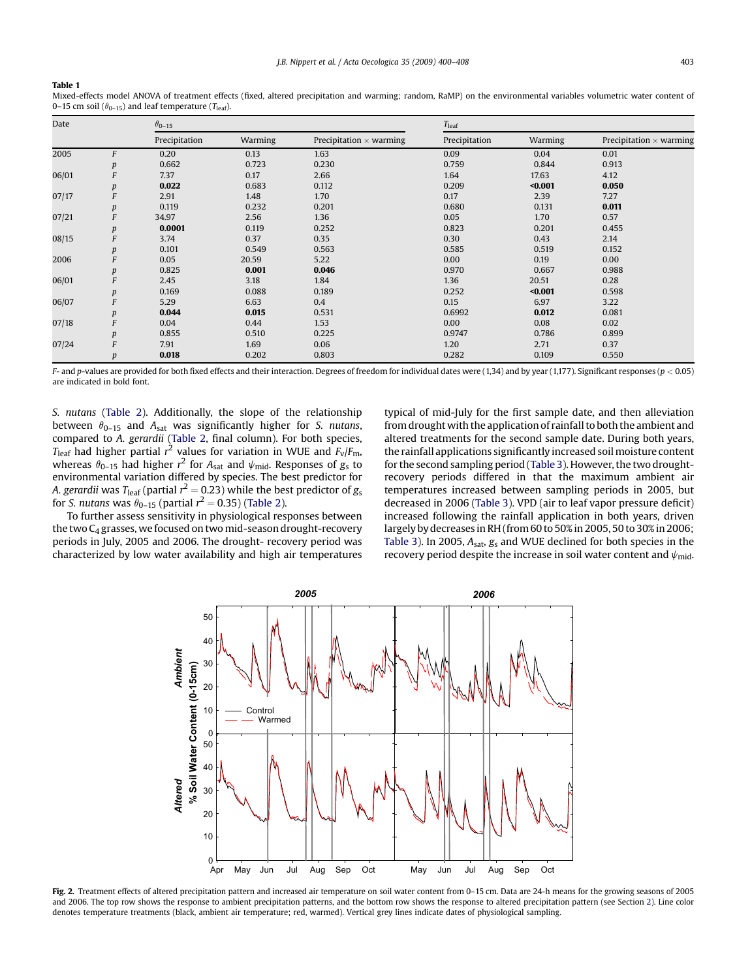#### <span id="page-3-0"></span>Table 1

Mixed-effects model ANOVA of treatment effects (fixed, altered precipitation and warming; random, RaMP) on the environmental variables volumetric water content of 0–15 cm soil ( $\theta$ <sub>0–15</sub>) and leaf temperature (T<sub>leaf</sub>).

| Date  |                  | $\theta_{0-15}$ |         |                                | $T_{\rm leaf}$ |                |                                |
|-------|------------------|-----------------|---------|--------------------------------|----------------|----------------|--------------------------------|
|       |                  | Precipitation   | Warming | Precipitation $\times$ warming | Precipitation  | <b>Warming</b> | Precipitation $\times$ warming |
| 2005  | F                | 0.20            | 0.13    | 1.63                           | 0.09           | 0.04           | 0.01                           |
|       | p                | 0.662           | 0.723   | 0.230                          | 0.759          | 0.844          | 0.913                          |
| 06/01 |                  | 7.37            | 0.17    | 2.66                           | 1.64           | 17.63          | 4.12                           |
|       | p                | 0.022           | 0.683   | 0.112                          | 0.209          | $0.001$        | 0.050                          |
| 07/17 |                  | 2.91            | 1.48    | 1.70                           | 0.17           | 2.39           | 7.27                           |
|       | p                | 0.119           | 0.232   | 0.201                          | 0.680          | 0.131          | 0.011                          |
| 07/21 |                  | 34.97           | 2.56    | 1.36                           | 0.05           | 1.70           | 0.57                           |
|       | p                | 0.0001          | 0.119   | 0.252                          | 0.823          | 0.201          | 0.455                          |
| 08/15 |                  | 3.74            | 0.37    | 0.35                           | 0.30           | 0.43           | 2.14                           |
|       | p                | 0.101           | 0.549   | 0.563                          | 0.585          | 0.519          | 0.152                          |
| 2006  |                  | 0.05            | 20.59   | 5.22                           | 0.00           | 0.19           | 0.00                           |
|       | $\boldsymbol{D}$ | 0.825           | 0.001   | 0.046                          | 0.970          | 0.667          | 0.988                          |
| 06/01 |                  | 2.45            | 3.18    | 1.84                           | 1.36           | 20.51          | 0.28                           |
|       | p                | 0.169           | 0.088   | 0.189                          | 0.252          | $0.001$        | 0.598                          |
| 06/07 |                  | 5.29            | 6.63    | 0.4                            | 0.15           | 6.97           | 3.22                           |
|       | p                | 0.044           | 0.015   | 0.531                          | 0.6992         | 0.012          | 0.081                          |
| 07/18 |                  | 0.04            | 0.44    | 1.53                           | 0.00           | 0.08           | 0.02                           |
|       | p                | 0.855           | 0.510   | 0.225                          | 0.9747         | 0.786          | 0.899                          |
| 07/24 |                  | 7.91            | 1.69    | 0.06                           | 1.20           | 2.71           | 0.37                           |
|       | $\boldsymbol{p}$ | 0.018           | 0.202   | 0.803                          | 0.282          | 0.109          | 0.550                          |

 $F$ - and p-values are provided for both fixed effects and their interaction. Degrees of freedom for individual dates were (1,34) and by year (1,177). Significant responses ( $p < 0.05$ ) are indicated in bold font.

S. nutans ([Table 2](#page-4-0)). Additionally, the slope of the relationship between  $\theta_{0-15}$  and  $A_{sat}$  was significantly higher for S. nutans, compared to A. gerardii [\(Table 2,](#page-4-0) final column). For both species,  $T_{\rm leaf}$  had higher partial  $r^2$  values for variation in WUE and  $F_{\rm v}/F_{\rm m}$ , whereas  $\theta_{0-15}$  had higher  $r^2$  for  $A_{\rm sat}$  and  $\psi_{\rm mid}$ . Responses of  $g_{\rm s}$  to environmental variation differed by species. The best predictor for A. gerardii was T<sub>leaf</sub> (partial  $r^2$  = 0.23) while the best predictor of  $g_{\rm s}$ for S. nutans was  $\theta_{0-15}$  (partial  $r^2$  = 0.35) ([Table 2\)](#page-4-0).

To further assess sensitivity in physiological responses between the two  $C_4$  grasses, we focused on two mid-season drought-recovery periods in July, 2005 and 2006. The drought- recovery period was characterized by low water availability and high air temperatures typical of mid-July for the first sample date, and then alleviation from drought with the application of rainfall to both the ambient and altered treatments for the second sample date. During both years, the rainfall applications significantly increased soilmoisture content for the second sampling period [\(Table 3\)](#page-5-0). However, the two droughtrecovery periods differed in that the maximum ambient air temperatures increased between sampling periods in 2005, but decreased in 2006 [\(Table 3](#page-5-0)). VPD (air to leaf vapor pressure deficit) increased following the rainfall application in both years, driven largely by decreases in RH (from 60 to 50% in 2005, 50 to 30% in 2006; [Table 3](#page-5-0)). In 2005,  $A_{sat}$ ,  $g_s$  and WUE declined for both species in the recovery period despite the increase in soil water content and  $\psi_{mid}$ .



Fig. 2. Treatment effects of altered precipitation pattern and increased air temperature on soil water content from 0-15 cm. Data are 24-h means for the growing seasons of 2005 and 2006. The top row shows the response to ambient precipitation patterns, and the bottom row shows the response to altered precipitation pattern (see Section [2\)](#page-1-0). Line color denotes temperature treatments (black, ambient air temperature; red, warmed). Vertical grey lines indicate dates of physiological sampling.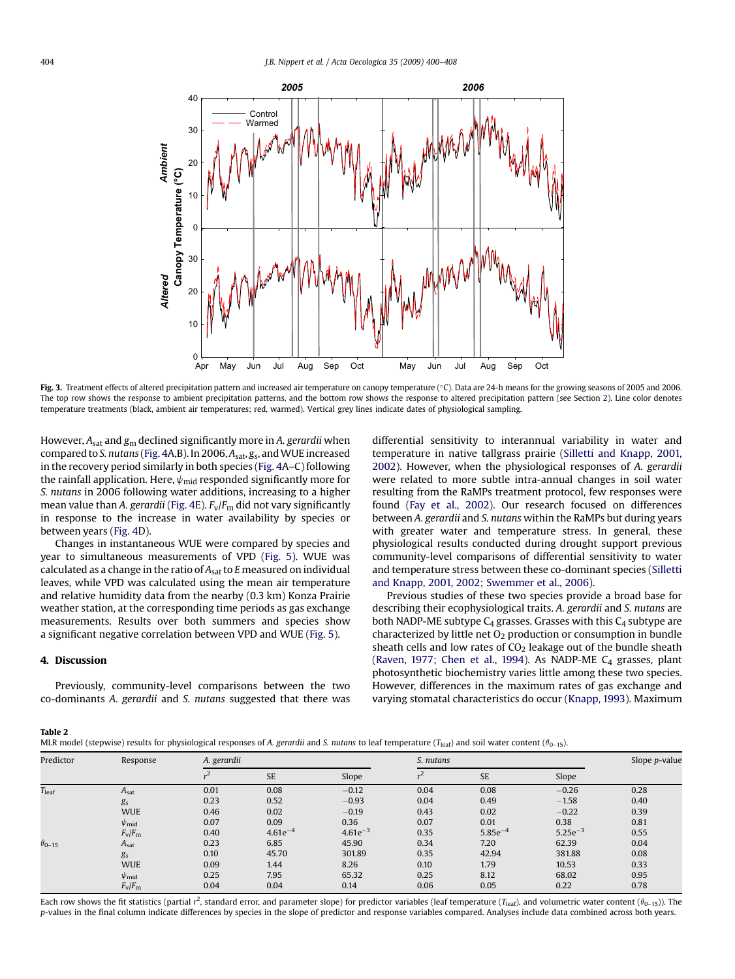<span id="page-4-0"></span>

Fig. 3. Treatment effects of altered precipitation pattern and increased air temperature on canopy temperature (°C). Data are 24-h means for the growing seasons of 2005 and 2006. The top row shows the response to ambient precipitation patterns, and the bottom row shows the response to altered precipitation pattern (see Section [2\)](#page-1-0). Line color denotes temperature treatments (black, ambient air temperatures; red, warmed). Vertical grey lines indicate dates of physiological sampling.

However,  $A_{sat}$  and  $g_m$  declined significantly more in A. gerardii when compared to S. nutans ([Fig. 4A](#page-6-0),B). In 2006,  $A_{sat}$ ,  $g_s$ , and WUE increased in the recovery period similarly in both species [\(Fig. 4A](#page-6-0)–C) following the rainfall application. Here,  $\psi_{mid}$  responded significantly more for S. nutans in 2006 following water additions, increasing to a higher mean value than A. gerardii ([Fig. 4](#page-6-0)E).  $F_v/F_m$  did not vary significantly in response to the increase in water availability by species or between years [\(Fig. 4D](#page-6-0)).

Changes in instantaneous WUE were compared by species and year to simultaneous measurements of VPD ([Fig. 5\)](#page-7-0). WUE was calculated as a change in the ratio of  $A<sub>sat</sub>$  to  $E$  measured on individual leaves, while VPD was calculated using the mean air temperature and relative humidity data from the nearby (0.3 km) Konza Prairie weather station, at the corresponding time periods as gas exchange measurements. Results over both summers and species show a significant negative correlation between VPD and WUE ([Fig. 5\)](#page-7-0).

## 4. Discussion

Previously, community-level comparisons between the two co-dominants A. gerardii and S. nutans suggested that there was differential sensitivity to interannual variability in water and temperature in native tallgrass prairie [\(Silletti and Knapp, 2001,](#page-8-0) [2002](#page-8-0)). However, when the physiological responses of A. gerardii were related to more subtle intra-annual changes in soil water resulting from the RaMPs treatment protocol, few responses were found [\(Fay et al., 2002\)](#page-8-0). Our research focused on differences between A. gerardii and S. nutans within the RaMPs but during years with greater water and temperature stress. In general, these physiological results conducted during drought support previous community-level comparisons of differential sensitivity to water and temperature stress between these co-dominant species ([Silletti](#page-8-0) [and Knapp, 2001, 2002; Swemmer et al., 2006](#page-8-0)).

Previous studies of these two species provide a broad base for describing their ecophysiological traits. A. gerardii and S. nutans are both NADP-ME subtype  $C_4$  grasses. Grasses with this  $C_4$  subtype are characterized by little net  $O<sub>2</sub>$  production or consumption in bundle sheath cells and low rates of  $CO<sub>2</sub>$  leakage out of the bundle sheath ([Raven, 1977; Chen et al., 1994\)](#page-8-0). As NADP-ME  $C_4$  grasses, plant photosynthetic biochemistry varies little among these two species. However, differences in the maximum rates of gas exchange and varying stomatal characteristics do occur ([Knapp, 1993\)](#page-8-0). Maximum

#### Table 2

| MLR model (stepwise) results for physiological responses of A. gerardii and S. nutans to leaf temperature ( $T_{\text{leaf}}$ ) and soil water content ( $\theta_{0-15}$ ). |  |
|-----------------------------------------------------------------------------------------------------------------------------------------------------------------------------|--|
|-----------------------------------------------------------------------------------------------------------------------------------------------------------------------------|--|

| Predictor         | Response              |      | A. gerardii  |              |                | S. nutans    |              |      |
|-------------------|-----------------------|------|--------------|--------------|----------------|--------------|--------------|------|
|                   |                       | n    | <b>SE</b>    | Slope        | r <sup>2</sup> | <b>SE</b>    | Slope        |      |
| $T_{\text{leaf}}$ | $A_{\text{sat}}$      | 0.01 | 0.08         | $-0.12$      | 0.04           | 0.08         | $-0.26$      | 0.28 |
|                   | g <sub>s</sub>        | 0.23 | 0.52         | $-0.93$      | 0.04           | 0.49         | $-1.58$      | 0.40 |
|                   | <b>WUE</b>            | 0.46 | 0.02         | $-0.19$      | 0.43           | 0.02         | $-0.22$      | 0.39 |
|                   | $\psi_{mid}$          | 0.07 | 0.09         | 0.36         | 0.07           | 0.01         | 0.38         | 0.81 |
|                   | $F_{\rm v}/F_{\rm m}$ | 0.40 | $4.61e^{-4}$ | $4.61e^{-3}$ | 0.35           | $5.85e^{-4}$ | $5.25e^{-3}$ | 0.55 |
| $\theta_{0-15}$   | $A_{\text{sat}}$      | 0.23 | 6.85         | 45.90        | 0.34           | 7.20         | 62.39        | 0.04 |
|                   | $g_s$                 | 0.10 | 45.70        | 301.89       | 0.35           | 42.94        | 381.88       | 0.08 |
|                   | <b>WUE</b>            | 0.09 | 1.44         | 8.26         | 0.10           | 1.79         | 10.53        | 0.33 |
|                   | $\psi_{mid}$          | 0.25 | 7.95         | 65.32        | 0.25           | 8.12         | 68.02        | 0.95 |
|                   | $F_{\rm v}/F_{\rm m}$ | 0.04 | 0.04         | 0.14         | 0.06           | 0.05         | 0.22         | 0.78 |

Each row shows the fit statistics (partial  $r^2$ , standard error, and parameter slope) for predictor variables (leaf temperature (T<sub>leaf</sub>), and volumetric water content ( $\theta_{0-15}$ )). The p-values in the final column indicate differences by species in the slope of predictor and response variables compared. Analyses include data combined across both years.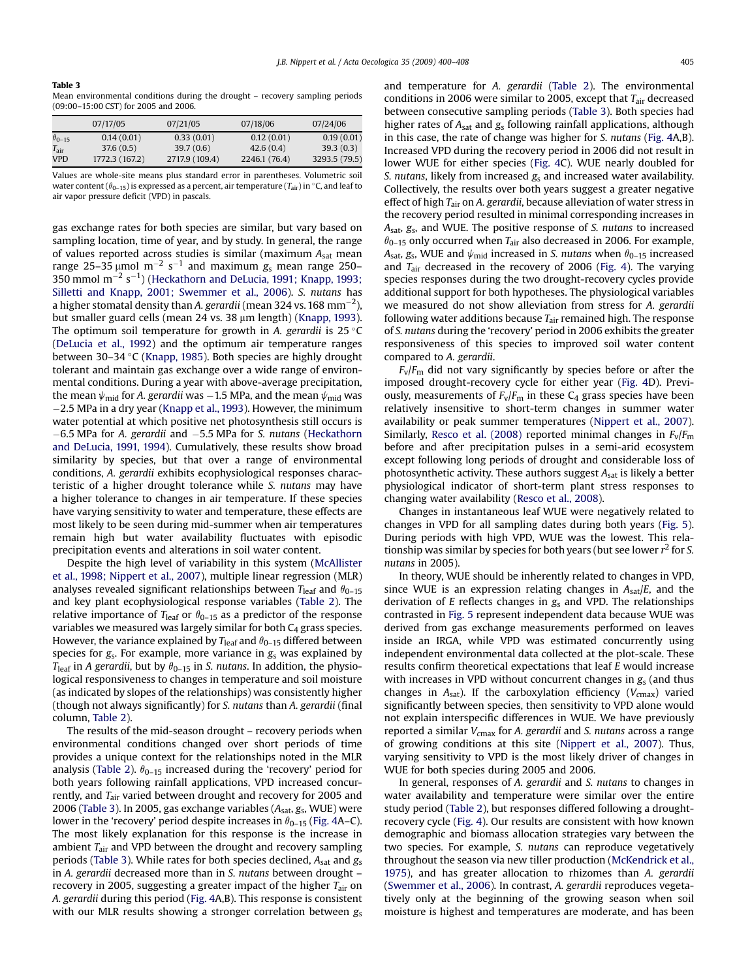<span id="page-5-0"></span>Table 3 Mean environmental conditions during the drought – recovery sampling periods (09:00–15:00 CST) for 2005 and 2006.

|                 | 07/17/05       | 07/21/05       | 07/18/06      | 07/24/06      |
|-----------------|----------------|----------------|---------------|---------------|
| $\theta_{0-15}$ | 0.14(0.01)     | 0.33(0.01)     | 0.12(0.01)    | 0.19(0.01)    |
| $T_{\rm air}$   | 37.6(0.5)      | 39.7(0.6)      | 42.6(0.4)     | 39.3(0.3)     |
| <b>VPD</b>      | 1772.3 (167.2) | 2717.9 (109.4) | 2246.1 (76.4) | 3293.5 (79.5) |

Values are whole-site means plus standard error in parentheses. Volumetric soil water content ( $\theta_{0-15}$ ) is expressed as a percent, air temperature (  $T_{\rm air}$ ) in °C, and leaf to air vapor pressure deficit (VPD) in pascals.

gas exchange rates for both species are similar, but vary based on sampling location, time of year, and by study. In general, the range of values reported across studies is similar (maximum  $A<sub>sat</sub>$  mean range 25–35  $\mu$ mol m $^{-2}$  s $^{-1}$  and maximum  $g_{\rm s}$  mean range 250– 350 mmol m $^{-2}$  s $^{-1}$ ) ([Heckathorn and DeLucia, 1991; Knapp, 1993;](#page-8-0) [Silletti and Knapp, 2001; Swemmer et al., 2006\)](#page-8-0). S. nutans has a higher stomatal density than A. gerardii (mean 324 vs. 168 mm $^{\rm -2}$ ), but smaller guard cells (mean 24 vs. 38 µm length) ([Knapp, 1993\)](#page-8-0). The optimum soil temperature for growth in A. gerardii is  $25^{\circ}$ C ([DeLucia et al., 1992\)](#page-7-0) and the optimum air temperature ranges between 30–34 °C ([Knapp, 1985\)](#page-8-0). Both species are highly drought tolerant and maintain gas exchange over a wide range of environmental conditions. During a year with above-average precipitation, the mean  $\psi_{mid}$  for A. gerardii was -1.5 MPa, and the mean  $\psi_{mid}$  was 2.5 MPa in a dry year ([Knapp et al., 1993\)](#page-8-0). However, the minimum water potential at which positive net photosynthesis still occurs is  $-6.5$  MPa for A. gerardii and  $-5.5$  MPa for S. nutans ([Heckathorn](#page-8-0) [and DeLucia, 1991, 1994](#page-8-0)). Cumulatively, these results show broad similarity by species, but that over a range of environmental conditions, A. gerardii exhibits ecophysiological responses characteristic of a higher drought tolerance while S. nutans may have a higher tolerance to changes in air temperature. If these species have varying sensitivity to water and temperature, these effects are most likely to be seen during mid-summer when air temperatures remain high but water availability fluctuates with episodic precipitation events and alterations in soil water content.

Despite the high level of variability in this system [\(McAllister](#page-8-0) [et al., 1998; Nippert et al., 2007\)](#page-8-0), multiple linear regression (MLR) analyses revealed significant relationships between  $T_{\text{leaf}}$  and  $\theta_{0-15}$ and key plant ecophysiological response variables [\(Table 2](#page-4-0)). The relative importance of  $T_{\text{leaf}}$  or  $\theta_{0-15}$  as a predictor of the response variables we measured was largely similar for both  $C_4$  grass species. However, the variance explained by  $T_{\text{leaf}}$  and  $\theta_{0-15}$  differed between species for  $g_s$ . For example, more variance in  $g_s$  was explained by  $T_{\text{leaf}}$  in A gerardii, but by  $\theta_{0-15}$  in S. nutans. In addition, the physiological responsiveness to changes in temperature and soil moisture (as indicated by slopes of the relationships) was consistently higher (though not always significantly) for S. nutans than A. gerardii (final column, [Table 2](#page-4-0)).

The results of the mid-season drought – recovery periods when environmental conditions changed over short periods of time provides a unique context for the relationships noted in the MLR analysis [\(Table 2\)](#page-4-0).  $\theta_{0-15}$  increased during the 'recovery' period for both years following rainfall applications, VPD increased concurrently, and  $T_{\text{air}}$  varied between drought and recovery for 2005 and 2006 (Table 3). In 2005, gas exchange variables  $(A<sub>sat</sub>, g<sub>s</sub>, WUE)$  were lower in the 'recovery' period despite increases in  $\theta_{0-15}$  ([Fig. 4A](#page-6-0)–C). The most likely explanation for this response is the increase in ambient  $T_{\text{air}}$  and VPD between the drought and recovery sampling periods (Table 3). While rates for both species declined,  $A_{sat}$  and  $g_s$ in A. gerardii decreased more than in S. nutans between drought – recovery in 2005, suggesting a greater impact of the higher  $T_{\text{air}}$  on A. gerardii during this period ([Fig. 4](#page-6-0)A,B). This response is consistent with our MLR results showing a stronger correlation between  $g_s$  and temperature for A. gerardii ([Table 2\)](#page-4-0). The environmental conditions in 2006 were similar to 2005, except that  $T_{\text{air}}$  decreased between consecutive sampling periods (Table 3). Both species had higher rates of  $A<sub>sat</sub>$  and  $g<sub>s</sub>$  following rainfall applications, although in this case, the rate of change was higher for S. nutans [\(Fig. 4](#page-6-0)A,B). Increased VPD during the recovery period in 2006 did not result in lower WUE for either species [\(Fig. 4](#page-6-0)C). WUE nearly doubled for S. nutans, likely from increased  $g_s$  and increased water availability. Collectively, the results over both years suggest a greater negative effect of high  $T_{\text{air}}$  on A. gerardii, because alleviation of water stress in the recovery period resulted in minimal corresponding increases in  $A<sub>sat</sub>$ ,  $g<sub>s</sub>$ , and WUE. The positive response of S. nutans to increased  $\theta$ <sub>0–15</sub> only occurred when T<sub>air</sub> also decreased in 2006. For example,  $A<sub>sat</sub>$ ,  $g<sub>s</sub>$ , WUE and  $\psi<sub>mid</sub>$  increased in S. nutans when  $\theta<sub>0-15</sub>$  increased and  $T_{\text{air}}$  decreased in the recovery of 2006 ([Fig. 4](#page-6-0)). The varying species responses during the two drought-recovery cycles provide additional support for both hypotheses. The physiological variables we measured do not show alleviation from stress for A. gerardii following water additions because  $T_{\text{air}}$  remained high. The response of S. nutans during the 'recovery' period in 2006 exhibits the greater responsiveness of this species to improved soil water content compared to A. gerardii.

 $F_{\rm v}/F_{\rm m}$  did not vary significantly by species before or after the imposed drought-recovery cycle for either year ([Fig. 4](#page-6-0)D). Previously, measurements of  $F_v/F_m$  in these  $C_4$  grass species have been relatively insensitive to short-term changes in summer water availability or peak summer temperatures [\(Nippert et al., 2007\)](#page-8-0). Similarly, [Resco et al. \(2008\)](#page-8-0) reported minimal changes in  $F_v/F_m$ before and after precipitation pulses in a semi-arid ecosystem except following long periods of drought and considerable loss of photosynthetic activity. These authors suggest  $A<sub>sat</sub>$  is likely a better physiological indicator of short-term plant stress responses to changing water availability [\(Resco et al., 2008](#page-8-0)).

Changes in instantaneous leaf WUE were negatively related to changes in VPD for all sampling dates during both years ([Fig. 5\)](#page-7-0). During periods with high VPD, WUE was the lowest. This relationship was similar by species for both years (but see lower  $r^2$  for S. nutans in 2005).

In theory, WUE should be inherently related to changes in VPD, since WUE is an expression relating changes in  $A_{sat}/E$ , and the derivation of  $E$  reflects changes in  $g_s$  and VPD. The relationships contrasted in [Fig. 5](#page-7-0) represent independent data because WUE was derived from gas exchange measurements performed on leaves inside an IRGA, while VPD was estimated concurrently using independent environmental data collected at the plot-scale. These results confirm theoretical expectations that leaf E would increase with increases in VPD without concurrent changes in  $g_s$  (and thus changes in  $A_{sat}$ ). If the carboxylation efficiency ( $V_{cmax}$ ) varied significantly between species, then sensitivity to VPD alone would not explain interspecific differences in WUE. We have previously reported a similar  $V_{\text{cmax}}$  for A. gerardii and S. nutans across a range of growing conditions at this site [\(Nippert et al., 2007](#page-8-0)). Thus, varying sensitivity to VPD is the most likely driver of changes in WUE for both species during 2005 and 2006.

In general, responses of A. gerardii and S. nutans to changes in water availability and temperature were similar over the entire study period [\(Table 2](#page-4-0)), but responses differed following a droughtrecovery cycle ([Fig. 4\)](#page-6-0). Our results are consistent with how known demographic and biomass allocation strategies vary between the two species. For example, S. nutans can reproduce vegetatively throughout the season via new tiller production ([McKendrick et al.,](#page-8-0) [1975\)](#page-8-0), and has greater allocation to rhizomes than A. gerardii ([Swemmer et al., 2006](#page-8-0)). In contrast, A. gerardii reproduces vegetatively only at the beginning of the growing season when soil moisture is highest and temperatures are moderate, and has been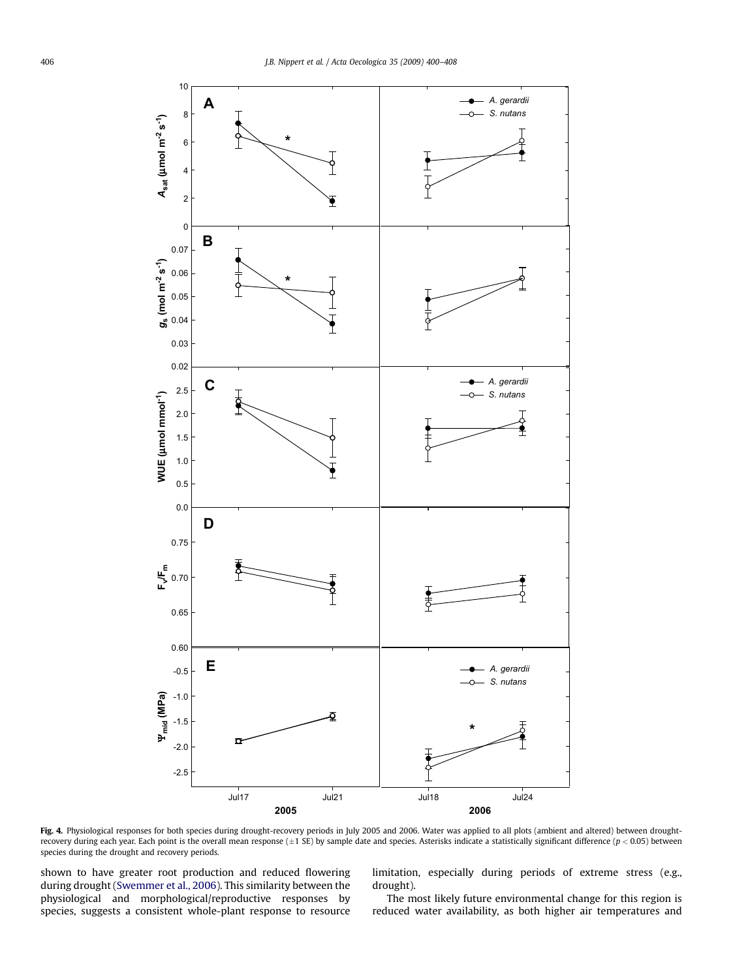<span id="page-6-0"></span>

Fig. 4. Physiological responses for both species during drought-recovery periods in July 2005 and 2006. Water was applied to all plots (ambient and altered) between droughtrecovery during each year. Each point is the overall mean response  $(\pm 1 \text{ SE})$  by sample date and species. Asterisks indicate a statistically significant difference ( $p < 0.05$ ) between species during the drought and recovery periods.

shown to have greater root production and reduced flowering during drought ([Swemmer et al., 2006](#page-8-0)). This similarity between the physiological and morphological/reproductive responses by species, suggests a consistent whole-plant response to resource

limitation, especially during periods of extreme stress (e.g., drought).

The most likely future environmental change for this region is reduced water availability, as both higher air temperatures and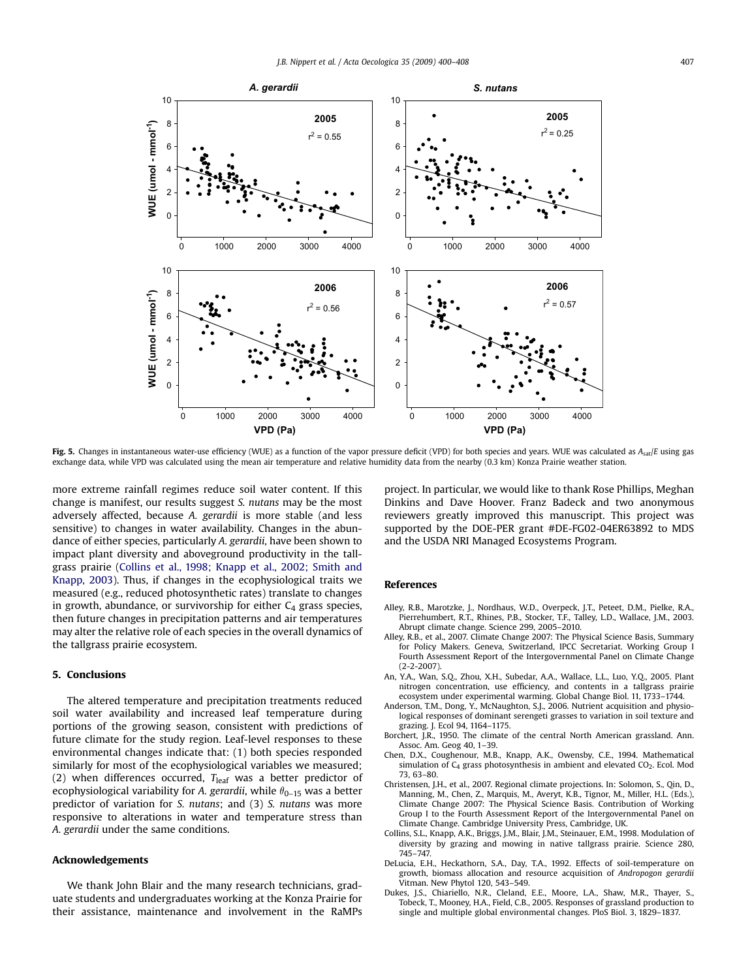<span id="page-7-0"></span>

Fig. 5. Changes in instantaneous water-use efficiency (WUE) as a function of the vapor pressure deficit (VPD) for both species and years. WUE was calculated as Asat/E using gas exchange data, while VPD was calculated using the mean air temperature and relative humidity data from the nearby (0.3 km) Konza Prairie weather station.

more extreme rainfall regimes reduce soil water content. If this change is manifest, our results suggest S. nutans may be the most adversely affected, because A. gerardii is more stable (and less sensitive) to changes in water availability. Changes in the abundance of either species, particularly A. gerardii, have been shown to impact plant diversity and aboveground productivity in the tallgrass prairie (Collins et al., 1998; Knapp et al., 2002; Smith and Knapp, 2003). Thus, if changes in the ecophysiological traits we measured (e.g., reduced photosynthetic rates) translate to changes in growth, abundance, or survivorship for either  $C_4$  grass species, then future changes in precipitation patterns and air temperatures may alter the relative role of each species in the overall dynamics of the tallgrass prairie ecosystem.

## 5. Conclusions

The altered temperature and precipitation treatments reduced soil water availability and increased leaf temperature during portions of the growing season, consistent with predictions of future climate for the study region. Leaf-level responses to these environmental changes indicate that: (1) both species responded similarly for most of the ecophysiological variables we measured; (2) when differences occurred,  $T_{\text{leaf}}$  was a better predictor of ecophysiological variability for A. gerardii, while  $\theta_{0-15}$  was a better predictor of variation for S. nutans; and (3) S. nutans was more responsive to alterations in water and temperature stress than A. gerardii under the same conditions.

### Acknowledgements

We thank John Blair and the many research technicians, graduate students and undergraduates working at the Konza Prairie for their assistance, maintenance and involvement in the RaMPs project. In particular, we would like to thank Rose Phillips, Meghan Dinkins and Dave Hoover. Franz Badeck and two anonymous reviewers greatly improved this manuscript. This project was supported by the DOE-PER grant #DE-FG02-04ER63892 to MDS and the USDA NRI Managed Ecosystems Program.

#### References

- Alley, R.B., Marotzke, J., Nordhaus, W.D., Overpeck, J.T., Peteet, D.M., Pielke, R.A., Pierrehumbert, R.T., Rhines, P.B., Stocker, T.F., Talley, L.D., Wallace, J.M., 2003. Abrupt climate change. Science 299, 2005–2010.
- Alley, R.B., et al., 2007. Climate Change 2007: The Physical Science Basis, Summary for Policy Makers. Geneva, Switzerland, IPCC Secretariat. Working Group I Fourth Assessment Report of the Intergovernmental Panel on Climate Change  $(2 - 2 - 2007)$
- An, Y.A., Wan, S.Q., Zhou, X.H., Subedar, A.A., Wallace, L.L., Luo, Y.Q., 2005. Plant nitrogen concentration, use efficiency, and contents in a tallgrass prairie ecosystem under experimental warming. Global Change Biol. 11, 1733–1744.
- Anderson, T.M., Dong, Y., McNaughton, S.J., 2006. Nutrient acquisition and physiological responses of dominant serengeti grasses to variation in soil texture and grazing. J. Ecol 94, 1164–1175.
- Borchert, J.R., 1950. The climate of the central North American grassland. Ann. Assoc. Am. Geog 40, 1–39.
- Chen, D.X., Coughenour, M.B., Knapp, A.K., Owensby, C.E., 1994. Mathematical simulation of  $C_4$  grass photosynthesis in ambient and elevated  $CO_2$ . Ecol. Mod 73, 63–80.
- Christensen, J.H., et al., 2007. Regional climate projections. In: Solomon, S., Qin, D., Manning, M., Chen, Z., Marquis, M., Averyt, K.B., Tignor, M., Miller, H.L. (Eds.), Climate Change 2007: The Physical Science Basis. Contribution of Working Group I to the Fourth Assessment Report of the Intergovernmental Panel on Climate Change. Cambridge University Press, Cambridge, UK.
- Collins, S.L., Knapp, A.K., Briggs, J.M., Blair, J.M., Steinauer, E.M., 1998. Modulation of diversity by grazing and mowing in native tallgrass prairie. Science 280, 745–747.
- DeLucia, E.H., Heckathorn, S.A., Day, T.A., 1992. Effects of soil-temperature on growth, biomass allocation and resource acquisition of Andropogon gerardii Vitman. New Phytol 120, 543–549.
- Dukes, J.S., Chiariello, N.R., Cleland, E.E., Moore, L.A., Shaw, M.R., Thayer, S., Tobeck, T., Mooney, H.A., Field, C.B., 2005. Responses of grassland production to single and multiple global environmental changes. PloS Biol. 3, 1829–1837.